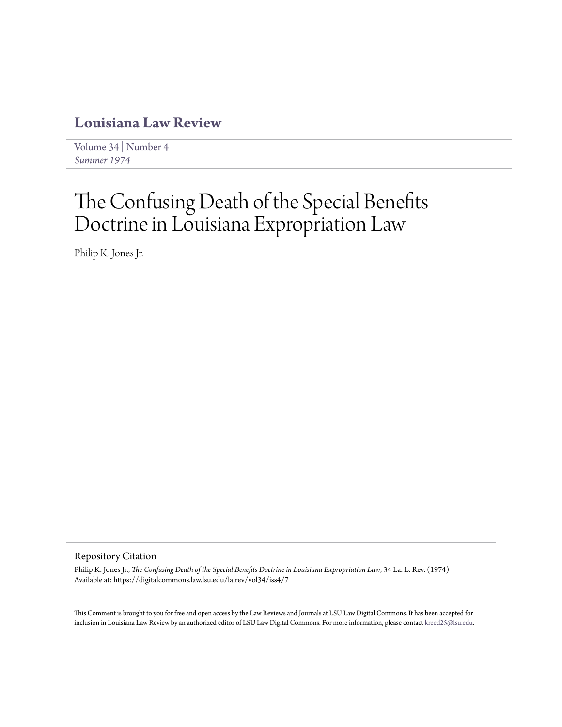## **[Louisiana Law Review](https://digitalcommons.law.lsu.edu/lalrev)**

[Volume 34](https://digitalcommons.law.lsu.edu/lalrev/vol34) | [Number 4](https://digitalcommons.law.lsu.edu/lalrev/vol34/iss4) *[Summer 1974](https://digitalcommons.law.lsu.edu/lalrev/vol34/iss4)*

# The Confusing Death of the Special Benefits Doctrine in Louisiana Expropriation Law

Philip K. Jones Jr.

#### Repository Citation

Philip K. Jones Jr., *The Confusing Death of the Special Benefits Doctrine in Louisiana Expropriation Law*, 34 La. L. Rev. (1974) Available at: https://digitalcommons.law.lsu.edu/lalrev/vol34/iss4/7

This Comment is brought to you for free and open access by the Law Reviews and Journals at LSU Law Digital Commons. It has been accepted for inclusion in Louisiana Law Review by an authorized editor of LSU Law Digital Commons. For more information, please contact [kreed25@lsu.edu](mailto:kreed25@lsu.edu).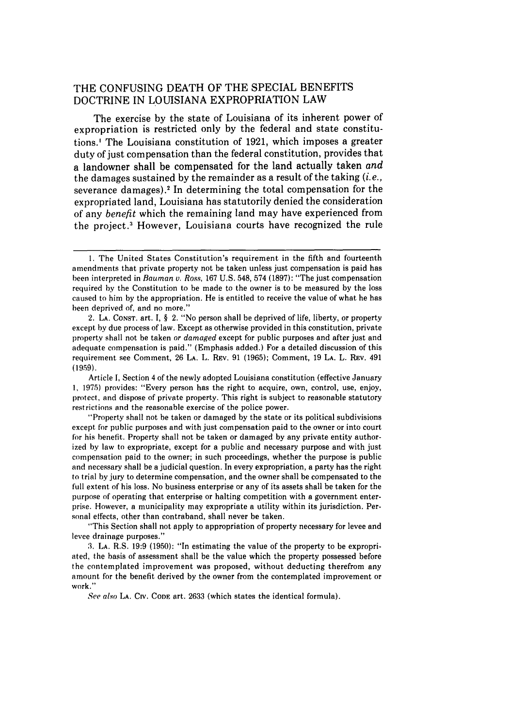### THE CONFUSING DEATH OF THE SPECIAL BENEFITS DOCTRINE IN LOUISIANA EXPROPRIATION LAW

The exercise by the state of Louisiana of its inherent power of expropriation is restricted only by the federal and state constitutions.' The Louisiana constitution of 1921, which imposes a greater duty of just compensation than the federal constitution, provides that a landowner shall be compensated for the land actually taken *and* the damages sustained by the remainder as a result of the taking *(i.e.,* severance damages).2 In determining the total compensation for the expropriated land, Louisiana has statutorily denied the consideration of any *benefit* which the remaining land may have experienced from the project.<sup>3</sup> However, Louisiana courts have recognized the rule

Article **1,** Section 4 of the newly adopted Louisiana constitution (effective January **1,** 1975) provides: "Every person has the right to acquire, own, control, use, enjoy, protect, and dispose of private property. This right is subject to reasonable statutory restrictions and the reasonable exercise of the police power.

"Property shall not be taken or damaged by the state or its political subdivisions except for public purposes and with just compensation paid to the owner or into court for his benefit. Property shall not be taken or damaged by any private entity authorized by law to expropriate, except for a public and necessary purpose and with just compensation paid to the owner; in such proceedings, whether the purpose is public and necessary shall be a judicial question. In every expropriation, a party has the right to trial by jury to determine compensation, and the owner shall be compensated to the full extent of his loss. No business enterprise or any of its assets shall be taken for the purpose of operating that enterprise or halting competition with a government enterprise. However, a municipality may expropriate a utility within its jurisdiction. Personal effects, other than contraband, shall never be taken.

"This Section shall not apply to appropriation of property necessary for levee and levee drainage purposes."

**3. LA.** R.S. 19:9 (1950): "In estimating the value of the property to be expropriated, the basis of assessment shall be the value which the property possessed before the contemplated improvement was proposed, without deducting therefrom any amount for the benefit derived by the owner from the contemplated improvement or work."

*See also* **LA.** CIv. **CODE** art. 2633 (which states the identical formula).

<sup>1.</sup> The United States Constitution's requirement in the fifth and fourteenth amendments that private property not be taken unless just compensation is paid has been interpreted in *Bauman v. Ross,* 167 U.S. 548, 574 (1897): "The just compensation required by the Constitution to be made to the owner is to be measured by the loss caused to him by the appropriation. He is entitled to receive the value of what he has been deprived of, and no more."

<sup>2.</sup> **LA.** CONST. art. I, § 2. "No person shall be deprived of life, liberty, or property except by due process of law. Except as otherwise provided in this constitution, private property shall not be taken *or damaged* except for public purposes and after just and adequate compensation is paid." (Emphasis added.) For a detailed discussion of this requirement see Comment, 26 **LA.** L. REV. 91 (1965); Comment, 19 **LA.** L. REV. 491 (1959).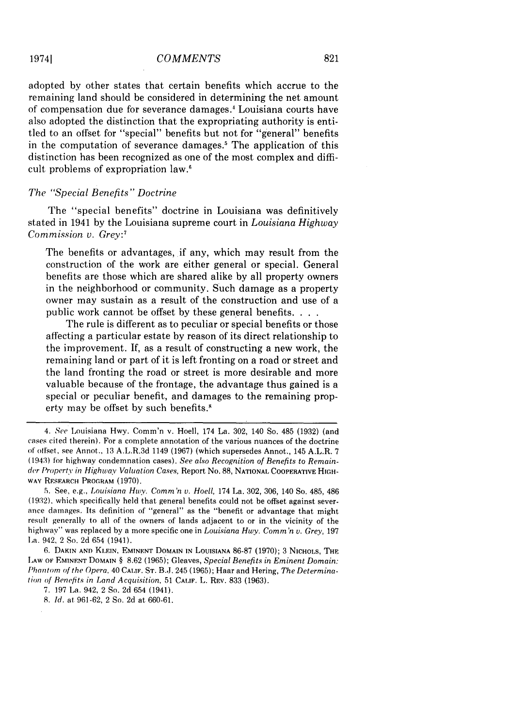adopted by other states that certain benefits which accrue to the remaining land should be considered in determining the net amount of compensation due for severance damages.' Louisiana courts have also adopted the distinction that the expropriating authority is entitled to an offset for "special" benefits but not for "general" benefits in the computation of severance damages.<sup>5</sup> The application of this distinction has been recognized as one of the most complex and difficult problems of expropriation law.'

#### *The "Special Benefits" Doctrine*

The "special benefits" doctrine in Louisiana was definitively stated in 1941 by the Louisiana supreme court in *Louisiana Highway Commission v. Grey:7*

The benefits or advantages, if any, which may result from the construction of the work are either general or special. General benefits are those which are shared alike by all property owners in the neighborhood or community. Such damage as a property owner may sustain as a result of the construction and use of a public work cannot be offset by these general benefits **...**

The rule is different as to peculiar or special benefits or those affecting a particular estate by reason of its direct relationship to the improvement. If, as a result of constructing a new work, the remaining land or part of it is left fronting on a road or street and the land fronting the road or street is more desirable and more valuable because of the frontage, the advantage thus gained is a special or peculiar benefit, and damages to the remaining property may be offset by such benefits.'

*<sup>4.</sup> See* Louisiana Hwy. Comm'n v. Hoell, 174 La. 302, 140 So. 485 (1932) (and cases cited therein). For a complete annotation of the various nuances of the doctrine of ollset, see Annot., 13 A.L.R.3d 1149 (1967) (which supersedes Annot., 145 A.L.R. 7 (1943) for highway condemnation cases). *See* also *Recognition* of *Benefits* to *Remainder Property* in *Highway* Valuation Cases, Report No. 88, **NATIONAL** COOPERATIVE **HIGH-**WAY RESEARCH PROGRAM (1970).

**<sup>5.</sup>** See, e.g., Louisiana *Hwy. Comm'n v. Hoell,* 174 La. 302, 306, 140 So. 485, 486 (19:2), which specifically held that general benefits could not be offset against severance damages. Its definition of "general" as the "benefit or advantage that might result generally to all of the owners of lands adjacent to or in the vicinity of the highway" was replaced by a more specific one in *Louisiana Hwy. Comm'n v. Grey,* <sup>197</sup> La. 942, 2 So. 2d 654 (1941).

<sup>6.</sup> **DAKIN AND KLEIN, EMINENT** DOMAIN **IN LOUISIANA** 86-87 (1970); 3 NICHOLS, THE IAW **OF** EMINENT **DOMAIN** § 8.62 (1965); Gleaves, *Special Benefits in Eminent Domain: Phantom of the Opera,* 40 **CALIF. ST.** B.J. 245 (1965); Haar and Hering, *The Determinatin* of *Benefits* in *Land Acquisition,* 51 **CALIF.** L. **REV.** 833 (1963).

<sup>7.</sup> 197 La. 942, 2 So. 2d 654 (1941).

<sup>8.</sup> *Id.* at 961-62, 2 So. 2d at 660-61.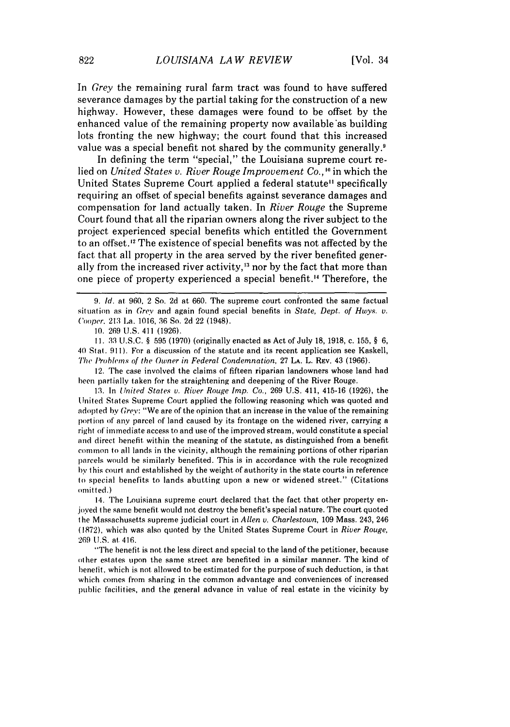In *Grey* the remaining rural farm tract was found to have suffered severance damages by the partial taking for the construction of a new highway. However, these damages were found to be offset by the enhanced value of the remaining property now available as building lots fronting the new highway; the court found that this increased value was a special benefit not shared by the community generally.<sup>9</sup>

In defining the term "special," the Louisiana supreme court relied on *United States v. River Rouge Improvement Co.,* **"** in which the United States Supreme Court applied a federal statute" specifically requiring an offset of special benefits against severance damages and compensation for land actually taken. In *River Rouge* the Supreme Court found that all the riparian owners along the river subject to the project experienced special benefits which entitled the Government to an offset.'2 The existence of special benefits was not affected by the fact that all property in the area served by the river benefited generally from the increased river activity,<sup>13</sup> nor by the fact that more than one piece of property experienced a special benefit." Therefore, the

**I1.** 33 U.S.C. § 595 (1970) (originally enacted as Act of July 18, 1918, c. 155, § 6, 40 Stat. 911). For a discussion of the statute and its recent application see Kaskell, The Prohlems of the Owner in Federal *Condemnation,* 27 LA. L. REv. 43 (1966).

12. The case involved the claims of fifteen riparian landowners whose land had been partially taken for the straightening and deepening of the River Rouge.

13. In *United States v. River Rouge Imp. Co.,* 269 U.S. 411, 415-16 (1926), the United States Supreme Court applied the following reasoning which was quoted and adopted by *Gre':* "We are of the opinion that an increase in the value of the remaining portion of any parcel of land caused by its frontage on the widened river, carrying a right of immediate access to and use of the improved stream, would constitute a special and direct benefit within the meaning of the statute, as distinguished from a benefit common to all lands in the vicinity, although the remaining portions of other riparian parcels would be similarly benefited. This is in accordance with the rule recognized by this court and established by the weight of authority in the state courts in reference to special benefits to lands abutting upon a new or widened street." (Citations omitted.)

14. The Louisiana supreme court declared that the fact that other property enjoyed the same benefit would not destroy the benefit's special nature. The court quoted the Massachusetts supreme judicial court in *Allen v. Charlestown,* 109 Mass. 243, 246 (1872), which was also quoted by the United States Supreme Court in *River Rouge,* 269 U.S. at, 416.

"The benefit is not the less direct and special to the land of the petitioner, because other estates upon the same street are benefited in a similar manner. The kind of henefit, which is not allowed to be estimated for the purpose of such deduction, is that which comes from sharing in the common advantage and conveniences of increased public facilities, and the general advance in value of real estate in the vicinity by

*<sup>9.</sup> Id.* at 960, 2 So. 2d at 660. The supreme court confronted the same factual situation as in Grey' and again found special benefits in *State, Dept. of Hwys. v.* Cooper. 213 La. 1016, 36 So. 2d 22 (1948).

<sup>10. 269</sup> U.S. 411 (1926).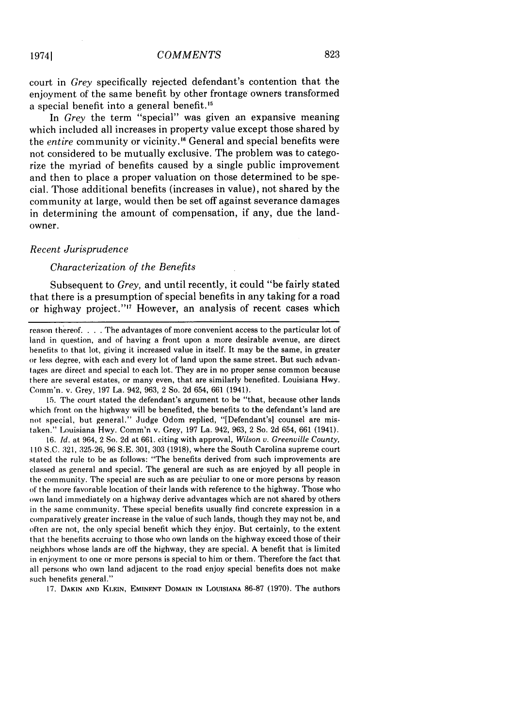court in *Grey* specifically rejected defendant's contention that the enjoyment of the same benefit by other frontage owners transformed a special benefit into a general benefit."<sup>5</sup>

In *Grey* the term "special" was given an expansive meaning which included all increases in property value except those shared by the *entire* community or vicinity.<sup>16</sup> General and special benefits were not considered to be mutually exclusive. The problem was to categorize the myriad of benefits caused by a single public improvement and then to place a proper valuation on those determined to be special. Those additional benefits (increases in value), not shared by the community at large, would then be set off against severance damages in determining the amount of compensation, if any, due the landowner.

#### *Recent Jurisprudence*

#### *Characterization of the Benefits*

Subsequent to *Grey,* and until recently, it could "be fairly stated that there is a presumption of special benefits in any taking for a road or highway project."<sup>17</sup> However, an analysis of recent cases which

reason thereof. . . . The advantages of more convenient access to the particular lot of land in question, and of having a front upon a more desirable avenue, are direct benefits to that lot, giving it increased value in itself. It may be the same, in greater or less degree, with each and every lot of land upon the same street. But such advantages are direct and special to each lot. They are in no proper sense common because there are several estates, or many even, that are similarly benefited. Louisiana Hwy. Cornm'n. v. Grey, 197 La. 942, 963, 2 So. 2d 654, 661 (1941).

15. The court stated the defendant's argument to be "that, because other lands which front on the highway will be benefited, the benefits to the defendant's land are not special, but general." Judge Odom replied, "[Defendant's] counsel are mistaken." Louisiana Hwy. Comm'n v. Grey, 197 La. 942, 963, 2 So. 2d 654, 661 (1941).

16. *Id.* at 964, 2 So. 2d at 661. citing with approval, *Wilson v. Greenville County,* **110** S.C. 321, 325-26, 96 S.E. 301, 303 (1918), where the South Carolina supreme court stated the rule to be as follows: "The benefits derived from such improvements are classed as general and special. The general are such as are enjoyed by all people in the community. The special are such as are peculiar to one or more persons by reason of the more favorable location of their lands with reference to the highway. Those who own land immediately on a highway derive advantages which are not shared by others in the same community. These special benefits usually find concrete expression in a comparatively greater increase in the value of such lands, though they may not be, and often are not, the only special benefit which they enjoy. But certainly, to the extent that the benefits accruing to those who own lands on the highway exceed those of their neighbors whose lands are off the highway, they are special. **A** benefit that is limited in enjoyment to one or more persons is special to him or them. Therefore the fact that all persons who own land adjacent to the road enjoy special benefits does not make such benefits general."

17. **DAKIN AND KLEIN, EMINENT** DOMAIN **IN** LouISIANA 86-87 (1970). The authors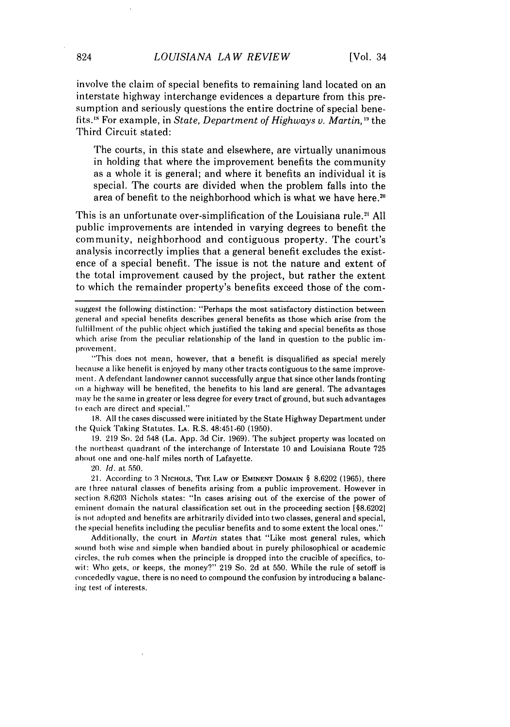involve the claim of special benefits to remaining land located on an interstate highway interchange evidences a departure from this presumption and seriously questions the entire doctrine of special benefits.'5 For example, in *State, Department of Highways v. Martin,"* the Third Circuit stated:

The courts, in this state and elsewhere, are virtually unanimous in holding that where the improvement benefits the community as a whole it is general; and where it benefits an individual it is special. The courts are divided when the problem falls into the area of benefit to the neighborhood which is what we have here.<sup>2</sup>

This is an unfortunate over-simplification of the Louisiana rule.<sup>21</sup> All public improvements are intended in varying degrees to benefit the community, neighborhood and contiguous property. The court's analysis incorrectly implies that a general benefit excludes the existence of a special benefit. The issue is not the nature and extent of the total improvement caused by the project, but rather the extent to which the remainder property's benefits exceed those of the com-

suggest the following distinction: "Perhaps the most satisfactory distinction between general and special benefits describes general benefits as those which arise from the fulfillment of the public object which justified the taking and special benefits as those which arise from the peculiar relationship of the land in question to the public improvement.

"This does not mean, however, that a benefit is disqualified as special merely because a like benefit is enjoyed by many other tracts contiguous to the same improvement. A defendant landowner cannot successfully argue that since other lands fronting on a highway will be benefited, the benefits to his land are general. The advantages may be the same in greater or less degree for every tract of ground, but such advantages to each are direct and special."

**18.** All the cases discussed were initiated by the State Highway Department under the Quick Taking Statutes. **LA.** R.S. 48:451-60 (1950).

19. 219 So. 2d 548 (La. App. 3d Cir. 1969). The subject property was located on the northeast quadrant of the interchange of Interstate 10 and Louisiana Route 725 about one and one-half miles north of Lafayette.

20. *Id.* at 550.

21. According to 3 NICHOLS, THE LAW OF EMINENT DOMAIN § 8.6202 (1965), there are three natural classes of benefits arising from a public improvement. However in section 8.6203 Nichols states: "In cases arising out of the exercise of the power of eminent domain the natural classification set out in the proceeding section [§8.62021 is not adopted and benefits are arbitrarily divided into two classes, general and special, the special benefits including the peculiar benefits and to some extent the local ones."

Additionally, the court in *Martin* states that "Like most general rules, which sound both wise and simple when bandied about in purely philosophical or academic circles, the rub comes when the principle is dropped into the crucible of specifics, towit: Who gets, or keeps, the money?" 219 So. 2d at 550. While the rule of setoff is concededly vague, there is no need to compound the confusion by introducing a balancing test of interests.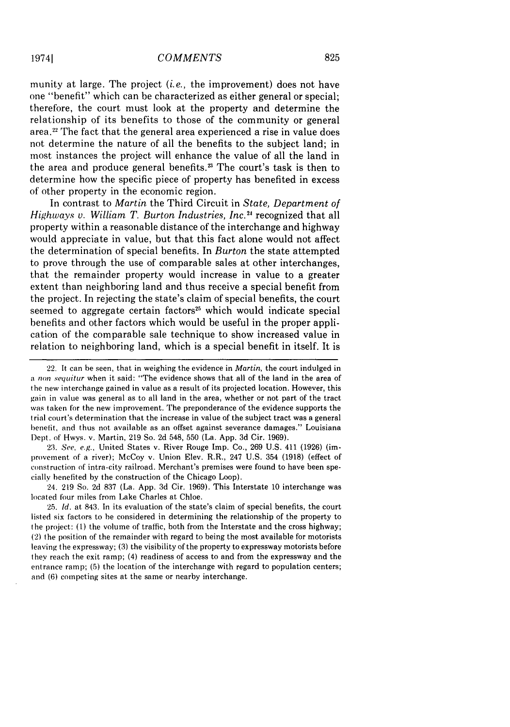munity at large. The project *(i.e.,* the improvement) does not have one "benefit" which can be characterized as either general or special; therefore, the court must look at the property and determine the relationship of its benefits to those of the community or general area.<sup>22</sup> The fact that the general area experienced a rise in value does not determine the nature of all the benefits to the subject land; in most instances the project will enhance the value of all the land in the area and produce general benefits.<sup>23</sup> The court's task is then to determine how the specific piece of property has benefited in excess of other property in the economic region.

In contrast to *Martin* the Third Circuit in *State, Department of* Highways v. William T. Burton Industries, Inc.<sup>24</sup> recognized that all property within a reasonable distance of the interchange and highway would appreciate in value, but that this fact alone would not affect the determination of special benefits. In *Burton* the state attempted to prove through the use of comparable sales at other interchanges, that the remainder property would increase in value to a greater extent than neighboring land and thus receive a special benefit from the project. In rejecting the state's claim of special benefits, the court seemed to aggregate certain factors<sup>25</sup> which would indicate special benefits and other factors which would be useful in the proper application of the comparable sale technique to show increased value in relation to neighboring land, which is a special benefit in itself. It is

23. *See, e.g.,* United States v. River Rouge Imp. Co., 269 U.S. 411 (1926) (improvement of a river); McCoy v. Union Elev. R.R., 247 U.S. 354 (1918) (effect of construction of intra-city railroad. Merchant's premises were found to have been specially benefited by the construction of the Chicago Loop).

24. 219 So. 2d 837 (La. App. 3d Cir. 1969). This Interstate 10 interchange was located four miles from Lake Charles at Chloe.

25. *Id.* at 843. In its evaluation of the state's claim of special benefits, the court listed six factors to be considered in determining the relationship of the property to the project: (1) the volume of traffic, both from the Interstate and the cross highway; (2) the position of the remainder with regard to being the most available for motorists leaving the expressway; (3) the visibility of the property to expressway motorists before they reach the exit ramp; (4) readiness of access to and from the expressway and the entrance ramp; (5) the location of the interchange with regard to population centers; and (6) competing sites at the same or nearby interchange.

<sup>22.</sup> It can be seen, that in weighing the evidence in *Martin,* the court indulged in a *non sequitur* when it said: "The evidence shows that all of the land in the area of the new interchange gained in value as a result of its projected location. However, this gain in value was general as to all land in the area, whether or not part of the tract was taken for the new improvement. The preponderance of the evidence supports the trial court's determination that the increase in value of the subject tract was a general benefit, and thus not available as an offset against severance damages." Louisiana Dept. of Hwys. v. Martin, 219 So. 2d 548, 550 (La. App. 3d Cir. 1969).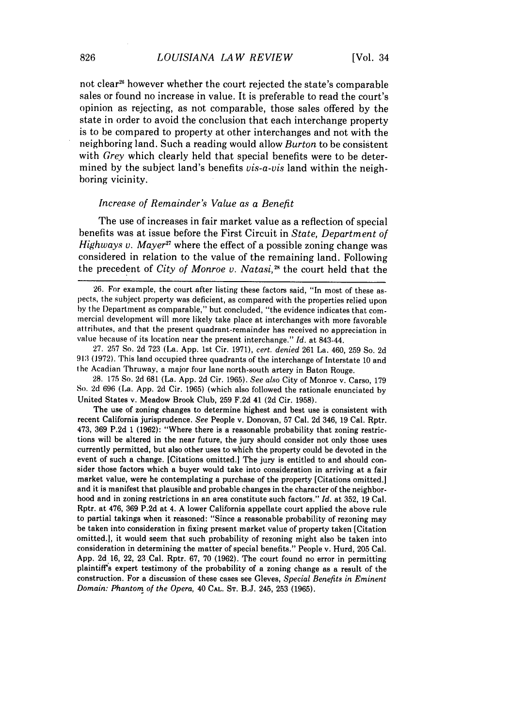not clear<sup>26</sup> however whether the court rejected the state's comparable sales or found no increase in value. It is preferable to read the court's opinion as rejecting, as not comparable, those sales offered by the state in order to avoid the conclusion that each interchange property is to be compared to property at other interchanges and not with the neighboring land. Such a reading would allow *Burton* to be consistent with *Grey* which clearly held that special benefits were to be determined by the subject land's benefits *vis-a-vis* land within the neighboring vicinity.

#### *Increase of Remainder's Value as a Benefit*

The use of increases in fair market value as a reflection of special benefits was at issue before the First Circuit in *State, Department of Highways v. Mayer*<sup>27</sup> where the effect of a possible zoning change was considered in relation to the value of the remaining land. Following the precedent of *City of Monroe v. Natasi*,<sup>28</sup> the court held that the

27. 257 So. 2d 723 (La. App. 1st Cir. 1971), *cert. denied* 261 La. 460, 259 So. 2d **913** (1972). This land occupied three quadrants of the interchange of Interstate 10 and the Acadian Thruway, a major four lane north-south artery in Baton Rouge.

28. 175 So. 2d 681 (La. App. 2d Cir. 1965). *See also* City of Monroe v. Carso, 179 So. 2d 696 (La. App. 2d Cir. 1965) (which also followed the rationale enunciated by United States v. Meadow Brook Club, 259 F.2d 41 (2d Cir. 1958).

The use of zoning changes to determine highest and best use is consistent with recent California jurisprudence. See People v. Donovan, 57 Cal. 2d 346, 19 Cal. Rptr. 473, 369 P.2d 1 (1962): "Where there is a reasonable probability that zoning restrictions will be altered in the near future, the jury should consider not only those uses currently permitted, but also other uses to which the property could be devoted in the event of such a change. [Citations omitted.] The jury is entitled to and should consider those factors which a buyer would take into consideration in arriving at a fair market value, were he contemplating a purchase of the property [Citations omitted.] and it is manifest that plausible and probable changes in the character of the neighborhood and in zoning restrictions in an area constitute such factors." *Id.* at 352, **19** Cal. Rptr. at 476, 369 P.2d at 4. A lower California appellate court applied the above rule to partial takings when it reasoned: "Since a reasonable probability of rezoning may be taken into consideration in fixing present market value of property taken [Citation omitted.I, it would seem that such probability of rezoning might also be taken into consideration in determining the matter of special benefits." People v. Hurd, 205 Cal. App. 2d 16, 22, 23 Cal. Rptr. 67, 70 (1962). The court found no error in permitting plaintiff's expert testimony of the probability of a zoning change as a result of the construction. For a discussion of these cases see Gleves, *Special Benefits in Eminent Domain: Phantom of the Opera,* 40 **CAL. ST.** B.J. 245, 253 (1965).

<sup>26.</sup> For example, the court after listing these factors said, "In most of these aspects, the subject property was deficient, as compared with the properties relied upon by the Department as comparable," but concluded, "the evidence indicates that commercial development will more likely take place at interchanges with more favorable attributes, and that the present quadrant-remainder has received no appreciation in value because of its location near the present interchange." *Id.* at 843-44.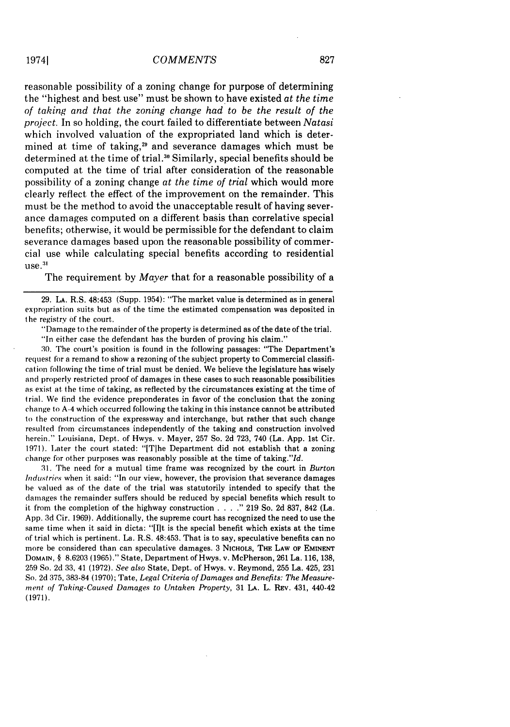reasonable possibility of a zoning change for purpose of determining the "highest and best use" must be shown to have existed *at the time of taking and that the zoning change had to be the result of the project.* In so holding, the court failed to differentiate between *Natasi* which involved valuation of the expropriated land which is determined at time of taking, $2<sup>n</sup>$  and severance damages which must be determined at the time of trial.<sup>30</sup> Similarly, special benefits should be computed at the time of trial after consideration of the reasonable possibility of a zoning change *at the time of trial* which would more clearly reflect the effect of the improvement on the remainder. This must be the method to avoid the unacceptable result of having severance damages computed on a different basis than correlative special benefits; otherwise, it would be permissible for the defendant to claim severance damages based upon the reasonable possibility of commercial use while calculating special benefits according to residential  $use.$ <sup>31</sup>

The requirement by *Mayer* that for a reasonable possibility of a

29. LA. R.S. 48:453 (Supp. 1954): "The market value is determined as in general expropriation suits but as of the time the estimated compensation was deposited in the registry **of** the court.

"Damage to the remainder of the property is determined as of the date of the trial.

"In either case the defendant has the burden of proving his claim."

30. The court's position is found in the following passages: "The Department's request for a remand to show a rezoning of the subject property to Commercial classification following the time of trial must be denied. We believe the legislature has wisely and properly restricted proof of damages in these cases to such reasonable possibilities as exist at. the time of taking, as reflected by the circumstances existing at the time of trial. We find the evidence preponderates in favor of the conclusion that the zoning change to A-4 which occurred following the taking in this instance cannot be attributed to the construction of the expressway and interchange, but rather that such change resulted from circumstances independently of the taking and construction involved herein." Louisiana, Dept. of Hwys. v. Mayer, 257 So. 2d 723, 740 (La. App. 1st Cir. 1971). Later the court stated: "[TIhe Department did not establish that a zoning change for other purposes was reasonably possible at the time of taking."Id.

31. The need for a mutual time frame was recognized by the court in *Burton Industries* when it said: "In our view, however, the provision that severance damages be valued as of the date of the trial was statutorily intended to specify that the damages the remainder suffers should be reduced by special benefits which result to it from the completion of the highway construction **.... "** 219 So. 2d 837, 842 (La. App. 3d Cir. 1969). Additionally, the supreme court has recognized the need to use the same time when it said in dicta: "[I]t is the special benefit which exists at the time of trial which is pertinent. La. R.S. 48:453. That is to say, speculative benefits can no more be considered than can speculative damages. 3 NicHoLs, THE LAW OF **EMINENT DOMAIN,** § 8.6203 (1965)." State, Department of Hwys. v. McPherson, 261 La. 116, 138, 259 So. 2d 33, 41 (1972). *See also* State, Dept. of Hwys. v. Reymond, 255 La. 425, 231 So. 2d 375, 383-84 (1970); Tate, *Legal Criteria of Damages and Benefits: The Measurement of Taking-Caused Damages to Untaken Property,* 31 LA. L. REv. 431, 440-42 (1971).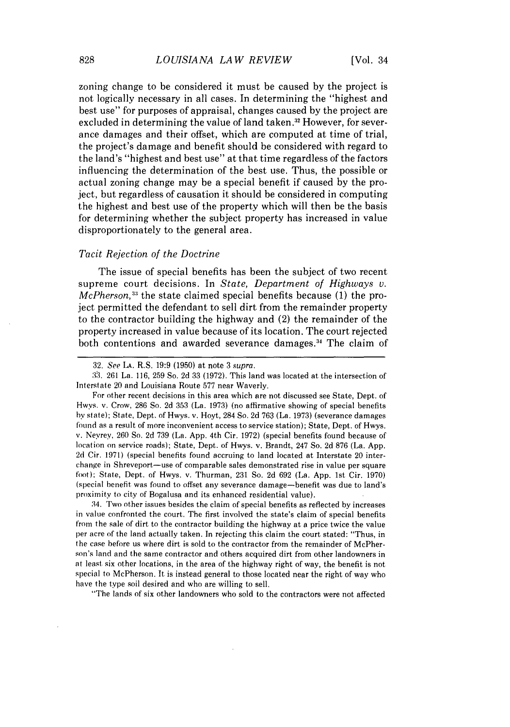zoning change to be considered it must be caused by the project is not logically necessary in all cases. In determining the "highest and best use" for purposes of appraisal, changes caused by the project are excluded in determining the value of land taken.<sup>32</sup> However, for severance damages and their offset, which are computed at time of trial, the project's damage and benefit should be considered with regard to the land's "highest and best use" at that time regardless of the factors influencing the determination of the best use. Thus, the possible or actual zoning change may be a special benefit if caused by the project, but regardless of causation it should be considered in computing the highest and best use of the property which will then be the basis for determining whether the subject property has increased in value disproportionately to the general area.

#### *Tacit Rejection of the Doctrine*

The issue of special benefits has been the subject of two recent supreme court decisions. In *State, Department of Highways v. McPherson*,<sup>33</sup> the state claimed special benefits because (1) the project permitted the defendant to sell dirt from the remainder property to the contractor building the highway and (2) the remainder of the property increased in value because of its location. The court rejected both contentions and awarded severance damages.<sup>34</sup> The claim of

**33.** 261 La. 116, 259 So. 2d 33 (1972). This land was located at the intersection of Interstate 20 and Louisiana Route 577 near Waverly.

For other recent decisions in this area which are not discussed see State, Dept. of Hwys. v. Crow, 286 So. 2d 353 (La. 1973) (no affirmative showing of special benefits by state); State, Dept. of Hwys. v. Hoyt, 284 So. 2d 763 (La. 1973) (severance damages found as a result of more inconvenient access to service station); State, Dept. of Hwys. v. Neyrey, 260 So. 2d 739 (La. App. 4th Cir. 1972) (special benefits found because of location on service roads); State, Dept. of Hwys. v. Brandt, 247 So. 2d 876 (La. App. 2d Cir. 1971) (special benefits found accruing to land located at Interstate 20 interchange in Shreveport-use of comparable sales demonstrated rise in value per square fot); State, Dept. of Hwys. v. Thurman, 231 So. 2d 692 (La. App. 1st Cir. 1970) (special benefit was found to offset any severance damage-benefit was due to land's proximity to city of Bogalusa and its enhanced residential value).

34. Two other issues besides the claim of special benefits as reflected by increases in value confronted the court. The first involved the state's claim of special benefits from the sale of dirt to the contractor building the highway at a price twice the value per acre of the land actually taken. In rejecting this claim the court stated: "Thus, in the case before us where dirt is sold to the contractor from the remainder of McPherson's land and the same contractor and others acquired dirt from other landowners in at least six other locations, in the area of the highway right of way, the benefit is not special to McPherson. It is instead general to those located near the right of way who have the type soil desired and who are willing to sell.

"The lands of six other landowners who sold to the contractors were not affected

<sup>32.</sup> See LA. R.S. 19:9 (1950) at note 3 supra.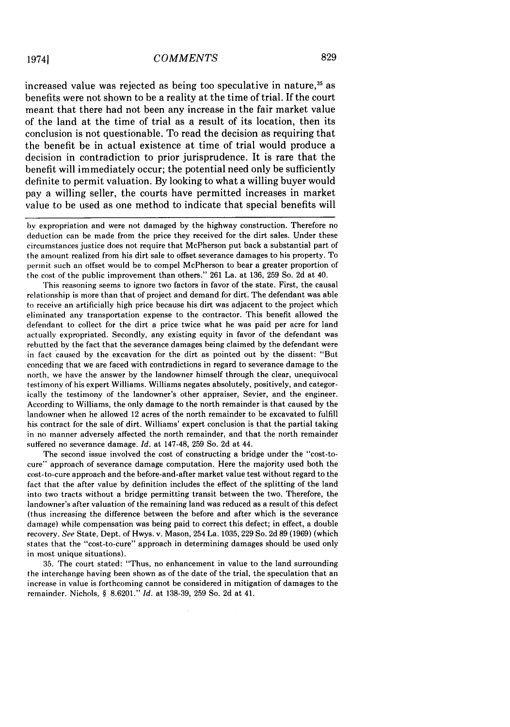increased value was rejected as being too speculative in nature,<sup>35</sup> as benefits were not shown to be a reality at the time of trial. If the court meant that there had not been any increase in the fair market value of the land at the time of trial as a result of its location, then its conclusion is not questionable. To read the decision as requiring that the benefit be in actual existence at time of trial would produce a decision in contradiction to prior jurisprudence. It is rare that the benefit will immediately occur; the potential need only be sufficiently definite to permit valuation. By looking to what a willing buyer would pay a willing seller, the courts have permitted increases in market value to be used as one method to indicate that special benefits will

by expropriation and were not damaged by the highway construction. Therefore no deduction can be made from the price they received for the dirt sales. Under these circumstances justice does not require that McPherson put back a substantial part of the amount realized from his dirt sale to offset severance damages to his property. To permit such an offset would be to compel McPherson to bear a greater proportion of the cost of the public improvement than others." 261 La. at 136, 259 So. 2d at 40.

This reasoning seems to ignore two factors in favor of the state. First, the causal relationship is more than that of project and demand for dirt. The defendant was able to receive an artificially high price because his dirt was adjacent to the project which eliminated any transportation expense to the contractor. This benefit allowed the defendant to collect for the dirt a price twice what he was paid per acre for land actually expropriated. Secondly, any existing equity in favor of the defendant was rebutted by the fact that the severance damages being claimed by the defendant were in fact caused by the excavation for the dirt as pointed out by the dissent: "But conceding that we are faced with contradictions in regard to severance damage to the north, we have the answer by the landowner himself through the clear, unequivocal testimony of his expert Williams. Williams negates absolutely, positively, and categorically the testimony of the landowner's other appraiser, Sevier, and the engineer. According to Williams, the only damage to the north remainder is that caused by the landowner when he allowed 12 acres of the north remainder to be excavated to fulfill his contract for the sale of dirt. Williams' expert conclusion is that the partial taking in no manner adversely affected the north remainder, and that the north remainder suffered no severance damage. *Id.* at 147-48, 259 So. 2d at 44.

The second issue involved the cost of constructing a bridge under the "cost-tocure" approach of severance damage computation. Here the majority used both the cost-to-cure approach and the before-and-after market value test without regard to the fact that the after value by definition includes the effect of the splitting of the land into two tracts without a bridge permitting transit between the two. Therefore, the landowner's after valuation of the remaining land was reduced as a result of this defect (thus increasing the difference between the before and after which is the severance damage) while compensation was being paid to correct this defect; in effect, a double recovery. *See* State, Dept. of Hwys. v. Mason, 254 La. 1035, 229 So. 2d 89 (1969) (which states that the "cost-to-cure" approach in determining damages should be used only in most unique situations).

35. The court stated: "Thus, no enhancement in value to the land surrounding the interchange having been shown as of the date of the trial, the speculation that an increase in value is forthcoming cannot be considered in mitigation of damages to the remainder. Nichols, § 8.6201." *Id.* at 138-39, 259 So. 2d at 41.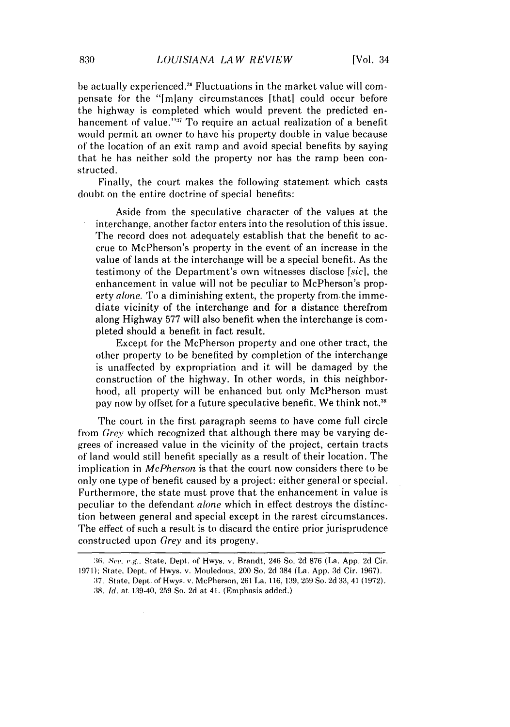be actually experienced.<sup>36</sup> Fluctuations in the market value will compensate for the "Imlany circumstances [thatl could occur before the highway is completed which would prevent the predicted enhancement of value.'' $^{\text{37}}$  To require an actual realization of a benefit would permit an owner to have his property double in value because of the location of an exit ramp and avoid special benefits by saying that he has neither sold the property nor has the ramp been constructed.

Finally, the court makes the following statement which casts doubt on the entire doctrine of special benefits:

Aside from the speculative character of the values at the interchange, another factor enters into the resolution of this issue. The record does not adequately establish that the benefit to accrue to McPherson's property in the event of an increase in the value of lands at the interchange will be a special benefit. As the testimony of the Department's own witnesses disclose [sicl, the enhancement in value will not be peculiar to McPherson's property *alone.* To a diminishing extent, the property from the immediate vicinity of the interchange and for a distance therefrom along Highway 577 will also benefit when the interchange is completed should a benefit in fact result.

Except for the McPherson property and one other tract, the other property to be benefited by completion of the interchange is unaffected by expropriation and it will be damaged by the construction of the highway. In other words, in this neighborhood, all property will be enhanced but only McPherson must pay now by offset for a future speculative benefit. We think not.<sup>38</sup>

The court in the first paragraph seems to have come full circle from *Grey* which recognized that although there may be varying degrees of increased value in the vicinity of the project, certain tracts of land would still benefit specially as a result of their location. The implication in *McPherson* is that the court now considers there to be only one type of benefit caused by a project: either general or special. Furthermore, the state must prove that the enhancement in value is peculiar to the defendant *alone* which in effect destroys the distinction between general and special except in the rarest circumstances. The effect of such a result is to discard the entire prior jurisprudence constructed upon *Grey* and its progeny.

*<sup>:16.</sup>* See. e.g., State, Dept. of Hwys. v. Brandt, 246 So. 2d 876 (La. App. 2d Cir.

<sup>1971):</sup> State, Dept. of Hwys. v. Mouledous, 200 So. 2d 384 (La. App. 3d Cir. 1967). **:17.** State, Dept,. of Hwys. v. McPherson, 261 la. 116, 139, 259 So. 2d 33, 41 (1972).

<sup>38.</sup> **Id.** at 139-40. 259 So. 2d at 41. (Emphasis added.)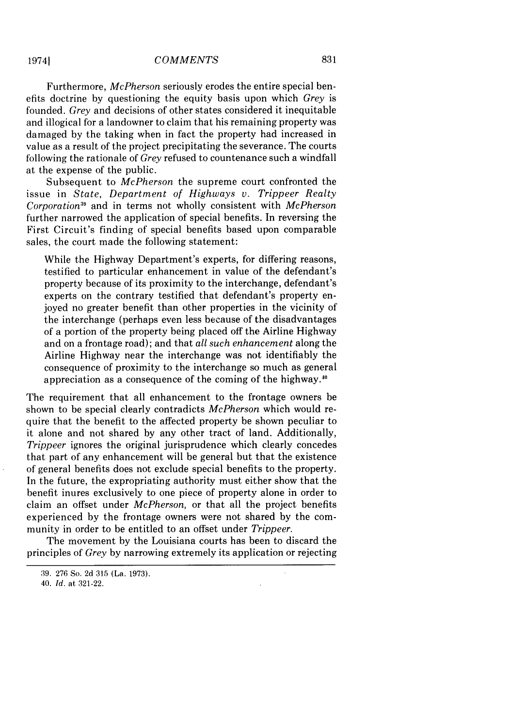831

Furthermore, *McPherson* seriously erodes the entire special benefits doctrine by questioning the equity basis upon which *Grey* is founded. *Grey* and decisions of other states considered it inequitable and illogical for a landowner to claim that his remaining property was damaged by the taking when in fact the property had increased in value as a result of the project precipitating the severance. The courts following the rationale of *Grey* refused to countenance such a windfall at the expense of the public.

Subsequent to *McPherson* the supreme court confronted the issue in *State, Department of Highways v. Trippeer Realty Corporation:* and in terms not wholly consistent with *McPherson* further narrowed the application of special benefits. In reversing the First Circuit's finding of special benefits based upon comparable sales, the court made the following statement:

While the Highway Department's experts, for differing reasons, testified to particular enhancement in value of the defendant's property because of its proximity to the interchange, defendant's experts on the contrary testified that defendant's property enjoyed no greater benefit than other properties in the vicinity of the interchange (perhaps even less because of the disadvantages of a portion of the property being placed off the Airline Highway and on a frontage road); and that *all such enhancement* along the Airline Highway near the interchange was not identifiably the consequence of proximity to the interchange so much as general appreciation as a consequence of the coming of the highway."'

The requirement that all enhancement to the frontage owners be shown to be special clearly contradicts *McPherson* which would require that the benefit to the affected property be shown peculiar to it alone and not shared by any other tract of land. Additionally, *Trippeer* ignores the original jurisprudence which clearly concedes that part of any enhancement will be general but that the existence of general benefits does not exclude special benefits to the property. In the future, the expropriating authority must either show that the benefit inures exclusively to one piece of property alone in order to claim an offset under *McPherson,* or that all the project benefits experienced by the frontage owners were not shared by the community in order to be entitled to an offset under *Trippeer.*

The movement by the Louisiana courts has been to discard the principles of *Grey* by narrowing extremely its application or rejecting

<sup>39. 276</sup> So. 2d 315 (La. 1973).

<sup>40.</sup> *Id.* at 321-22.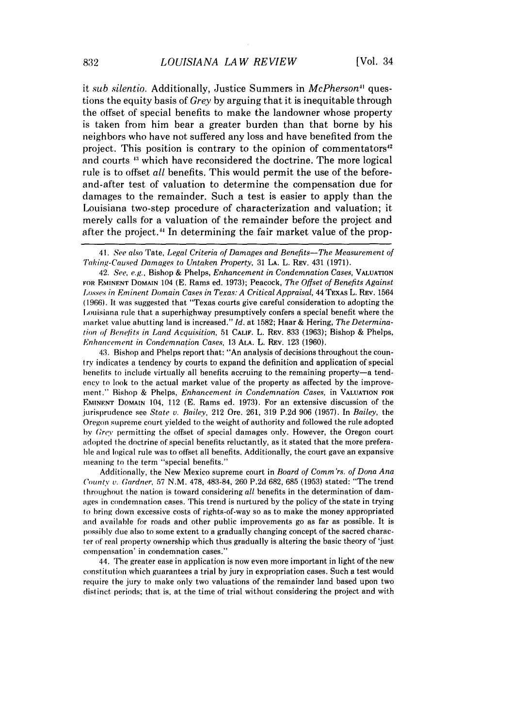it *sub silentio.* Additionally, Justice Summers in *McPherson<sup>41</sup>* questions the equity basis of *Grey* by arguing that it is inequitable through the offset of special benefits to make the landowner whose property is taken from him bear a greater burden than that borne by his neighbors who have not suffered any loss and have benefited from the project. This position is contrary to the opinion of commentators $^{42}$ and courts **1:1** which have reconsidered the doctrine. The more logical rule is to offset *all* benefits. This would permit the use of the beforeand-after test of valuation to determine the compensation due for damages to the remainder. Such a test is easier to apply than the Louisiana two-step procedure of characterization and valuation; it merely calls for a valuation of the remainder before the project and after the project." In determining the fair market value of the prop-

42. See, e.g., Bishop & Phelps, *Enhancement in Condemnation* Cases, **VALUATION** FOR EMINENT **DOMAIN** 104 (E. Rams ed. 1973); Peacock, The Offset of Benefits Against *Losses in Eminent Domain Cases in Texas: A Critical Appraisal,* 44 TEXAS L. REV. 1564 (1966). It was suggested that "Texas courts give careful consideration to adopting the Louisiana rule that a superhighway presumptively confers a special benefit where the market value abutting land is increased." *Id.* at 1582; Haar & Hering, *The Determination of Benefits in Land Acquisition,* 51 **CALIF.** L. REV. 833 (1963); Bishop & Phelps, *Enhancement in Condemnation Cases,* 13 **ALA.** L. REv. 123 (1960).

43. Bishop and Phelps report that: "An analysis of decisions throughout the country indicates a tendency by courts to expand the definition and application of special benefits to include virtually all benefits accruing to the remaining property-a tendency to look to the actual market value of the property as affected by the improvement." Bishop & Phelps, *Enhancement in Condemnation Cases,* in **VALUATION FOR** EMINENT **DOMAIN** 104, 112 (E. Rams ed. 1973). For an extensive discussion of the .jurisprudence see *State v. Bailey,* 212 Ore. 261, 319 P.2d 906 (1957). In *Bailey,* the Oregon supreme court yielded to the weight of authority and followed the rule adopted by *Grev* permitting the offset of special damages only. However, the Oregon court adopted the doctrine of special benefits reluctantly, as it stated that the more preferable and logical rule was to offset all benefits. Additionally, the court gave an expansive meaning to the term "special benefits."

Additionally, the New Mexico supreme court in *Board of Comm'rs. of Dona Ana County v. Gardner,* 57 N.M. 478, 483-84, **260 P.2d** 682, 685 (1953) stated: "The trend throughout the nation is toward considering *all* benefits in the determination of damages in condemnation cases. This trend is nurtured by the policy of the state in trying to bring down excessive costs of rights-of-way so as to make the money appropriated and available for roads and other public improvements go as far as possible. It is possibly due also to some extent to a gradually changing concept of the sacred character of real property ownership which thus gradually is altering the basic theory of 'just compensation' in condemnation cases."

44. The greater ease in application is now even more important in light of the new constitution which guarantees a trial by jury in expropriation cases. Such a test would require the jury to make only two valuations of the remainder land based upon two distinct periods; that is, at the time of trial without considering the project and with

<sup>41.</sup> *See also* Tate, *Legal Criteria of Damages and Benefits-The Measurement of Taking-Caused* Damages to Untaken *Property,* 31 **LA.** L. REV. 431 (1971).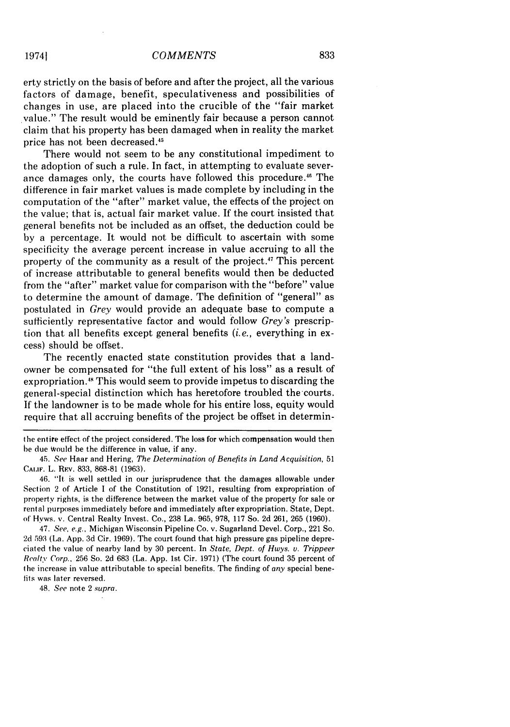erty strictly on the basis of before and after the project, all the various factors of damage, benefit, speculativeness and possibilities of changes in use, are placed into the crucible of the "fair market value." The result would be eminently fair because a person cannot claim that his property has been damaged when in reality the market price has not been decreased.<sup>45</sup>

There would not seem to be any constitutional impediment to the adoption of such a rule. In fact, in attempting to evaluate severance damages only, the courts have followed this procedure." The difference in fair market values is made complete by including in the computation of the "after" market value, the effects of the project on the value; that is, actual fair market value. If the court insisted that general benefits not be included as an offset, the deduction could be by a percentage. It would not be difficult to ascertain with some specificity the average percent increase in value accruing to all the property of the community as a result of the project.<sup>47</sup> This percent of increase attributable to general benefits would then be deducted from the "after" market value for comparison with the "before" value to determine the amount of damage. The definition of "general" as postulated in *Grey* would provide an adequate base to compute a sufficiently representative factor and would follow *Grey's* prescription that all benefits except general benefits *(i.e.,* everything in excess) should be offset.

The recently enacted state constitution provides that a landowner be compensated for "the full extent of his loss" as a result of expropriation.<sup>48</sup> This would seem to provide impetus to discarding the general-special distinction which has heretofore troubled the-courts. If the landowner is to be made whole for his entire loss, equity would require that all accruing benefits of the project be offset in determin-

46. "It is well settled in our jurisprudence that the damages allowable under Section 2 of Article I of the Constitution of 1921, resulting from expropriation of property rights, is the difference between the market value of the property for sale or rental purposes immediately before and immediately after expropriation. State, Dept. of Hyws. v. Central Realty Invest. Co., 238 La. 965, 978, 117 So. 2d 261, 265 (1960).

47. *See.* e.g., Michigan Wisconsin Pipeline Co. v. Sugarland Devel. Corp., 221 So. 2d 593 (La. App. 3d Cir. 1969). The court found that high pressure gas pipeline depreciated the value of nearby land by 30 percent. In State, Dept. of *Hwys.* v. *Trippeer* Realtv Corp., 256 So. 2d 683 (La. App. 1st Cir. 1971) (The court found 35 percent of the increase in value attributable to special benefits. The finding of any special benefits was later reversed.

48. See note 2 supra.

the entire effect of the project considered. The loss for which compensation would then he due would be the difference in value, if any.

<sup>45.</sup> *See* Haar and Hering, *The Determination* of *Benefits in Land Acquisition,* <sup>51</sup> **CALIF.** L. REV. 833, 868-81 (1963).